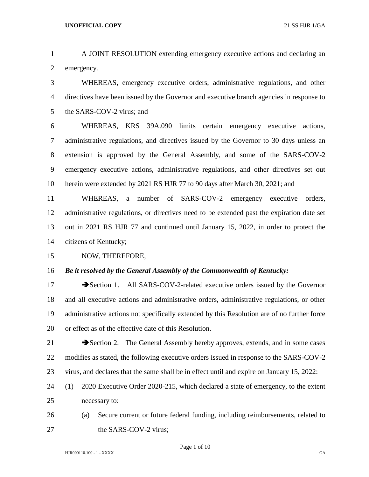A JOINT RESOLUTION extending emergency executive actions and declaring an emergency.

 WHEREAS, emergency executive orders, administrative regulations, and other directives have been issued by the Governor and executive branch agencies in response to 5 the SARS-COV-2 virus; and

 WHEREAS, KRS 39A.090 limits certain emergency executive actions, administrative regulations, and directives issued by the Governor to 30 days unless an extension is approved by the General Assembly, and some of the SARS-COV-2 emergency executive actions, administrative regulations, and other directives set out herein were extended by 2021 RS HJR 77 to 90 days after March 30, 2021; and

 WHEREAS, a number of SARS-COV-2 emergency executive orders, administrative regulations, or directives need to be extended past the expiration date set out in 2021 RS HJR 77 and continued until January 15, 2022, in order to protect the citizens of Kentucky;

NOW, THEREFORE,

*Be it resolved by the General Assembly of the Commonwealth of Kentucky:*

17 Section 1. All SARS-COV-2-related executive orders issued by the Governor and all executive actions and administrative orders, administrative regulations, or other administrative actions not specifically extended by this Resolution are of no further force or effect as of the effective date of this Resolution.

21 Section 2. The General Assembly hereby approves, extends, and in some cases modifies as stated, the following executive orders issued in response to the SARS-COV-2 virus, and declares that the same shall be in effect until and expire on January 15, 2022:

 (1) 2020 Executive Order 2020-215, which declared a state of emergency, to the extent necessary to:

 (a) Secure current or future federal funding, including reimbursements, related to 27 the SARS-COV-2 virus;

Page 1 of 10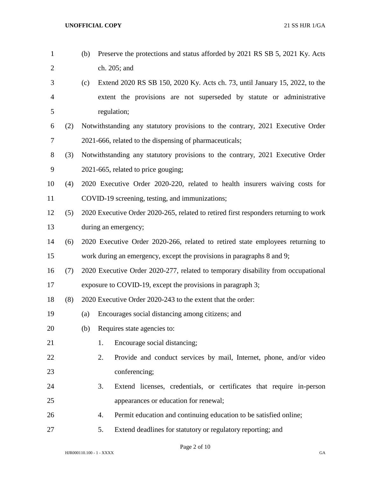| $\mathbf{1}$   |     | (b) | Preserve the protections and status afforded by 2021 RS SB 5, 2021 Ky. Acts          |
|----------------|-----|-----|--------------------------------------------------------------------------------------|
| $\overline{2}$ |     |     | ch. 205; and                                                                         |
| 3              |     | (c) | Extend 2020 RS SB 150, 2020 Ky. Acts ch. 73, until January 15, 2022, to the          |
| $\overline{4}$ |     |     | extent the provisions are not superseded by statute or administrative                |
| 5              |     |     | regulation;                                                                          |
| 6              | (2) |     | Notwithstanding any statutory provisions to the contrary, 2021 Executive Order       |
| 7              |     |     | 2021-666, related to the dispensing of pharmaceuticals;                              |
| $8\,$          | (3) |     | Notwithstanding any statutory provisions to the contrary, 2021 Executive Order       |
| 9              |     |     | 2021-665, related to price gouging;                                                  |
| 10             | (4) |     | 2020 Executive Order 2020-220, related to health insurers waiving costs for          |
| 11             |     |     | COVID-19 screening, testing, and immunizations;                                      |
| 12             | (5) |     | 2020 Executive Order 2020-265, related to retired first responders returning to work |
| 13             |     |     | during an emergency;                                                                 |
| 14             | (6) |     | 2020 Executive Order 2020-266, related to retired state employees returning to       |
| 15             |     |     | work during an emergency, except the provisions in paragraphs 8 and 9;               |
| 16             | (7) |     | 2020 Executive Order 2020-277, related to temporary disability from occupational     |
| 17             |     |     | exposure to COVID-19, except the provisions in paragraph 3;                          |
| 18             | (8) |     | 2020 Executive Order 2020-243 to the extent that the order:                          |
| 19             |     | (a) | Encourages social distancing among citizens; and                                     |
| 20             |     | (b) | Requires state agencies to:                                                          |
| 21             |     |     | 1.<br>Encourage social distancing;                                                   |
| 22             |     |     | 2.<br>Provide and conduct services by mail, Internet, phone, and/or video            |
| 23             |     |     | conferencing;                                                                        |
| 24             |     |     | Extend licenses, credentials, or certificates that require in-person<br>3.           |
| 25             |     |     | appearances or education for renewal;                                                |
| 26             |     |     | Permit education and continuing education to be satisfied online;<br>4.              |
| 27             |     |     | Extend deadlines for statutory or regulatory reporting; and<br>5.                    |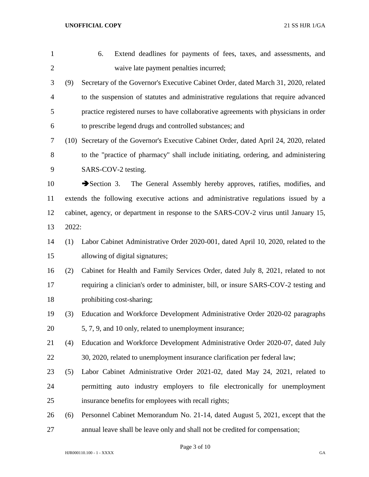| $\mathbf{1}$   |       | 6.<br>Extend deadlines for payments of fees, taxes, and assessments, and                  |
|----------------|-------|-------------------------------------------------------------------------------------------|
| $\overline{2}$ |       | waive late payment penalties incurred;                                                    |
| 3              | (9)   | Secretary of the Governor's Executive Cabinet Order, dated March 31, 2020, related        |
| $\overline{4}$ |       | to the suspension of statutes and administrative regulations that require advanced        |
| 5              |       | practice registered nurses to have collaborative agreements with physicians in order      |
| 6              |       | to prescribe legend drugs and controlled substances; and                                  |
| 7              |       | (10) Secretary of the Governor's Executive Cabinet Order, dated April 24, 2020, related   |
| 8              |       | to the "practice of pharmacy" shall include initiating, ordering, and administering       |
| 9              |       | SARS-COV-2 testing.                                                                       |
| 10             |       | $\rightarrow$ Section 3.<br>The General Assembly hereby approves, ratifies, modifies, and |
| 11             |       | extends the following executive actions and administrative regulations issued by a        |
| 12             |       | cabinet, agency, or department in response to the SARS-COV-2 virus until January 15,      |
| 13             | 2022: |                                                                                           |
| 14             | (1)   | Labor Cabinet Administrative Order 2020-001, dated April 10, 2020, related to the         |
| 15             |       | allowing of digital signatures;                                                           |
| 16             | (2)   | Cabinet for Health and Family Services Order, dated July 8, 2021, related to not          |
| 17             |       | requiring a clinician's order to administer, bill, or insure SARS-COV-2 testing and       |
| 18             |       | prohibiting cost-sharing;                                                                 |
| 19             | (3)   | Education and Workforce Development Administrative Order 2020-02 paragraphs               |
| 20             |       | 5, 7, 9, and 10 only, related to unemployment insurance;                                  |
| 21             | (4)   | Education and Workforce Development Administrative Order 2020-07, dated July              |
| 22             |       | 30, 2020, related to unemployment insurance clarification per federal law;                |
| 23             | (5)   | Labor Cabinet Administrative Order 2021-02, dated May 24, 2021, related to                |
| 24             |       | permitting auto industry employers to file electronically for unemployment                |
| 25             |       | insurance benefits for employees with recall rights;                                      |
| 26             | (6)   | Personnel Cabinet Memorandum No. 21-14, dated August 5, 2021, except that the             |
| 27             |       | annual leave shall be leave only and shall not be credited for compensation;              |

Page 3 of 10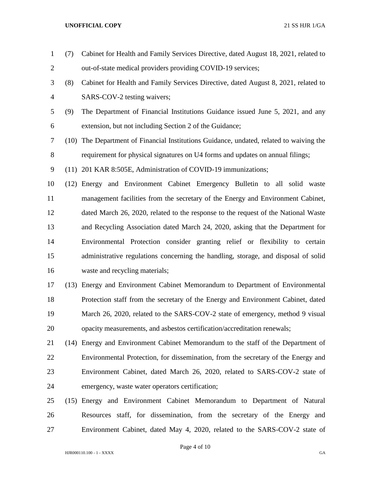| $\mathbf{1}$   | (7)  | Cabinet for Health and Family Services Directive, dated August 18, 2021, related to     |
|----------------|------|-----------------------------------------------------------------------------------------|
| $\overline{2}$ |      | out-of-state medical providers providing COVID-19 services;                             |
| 3              | (8)  | Cabinet for Health and Family Services Directive, dated August 8, 2021, related to      |
| $\overline{4}$ |      | SARS-COV-2 testing waivers;                                                             |
| 5              | (9)  | The Department of Financial Institutions Guidance issued June 5, 2021, and any          |
| 6              |      | extension, but not including Section 2 of the Guidance;                                 |
| 7              |      | (10) The Department of Financial Institutions Guidance, undated, related to waiving the |
| 8              |      | requirement for physical signatures on U4 forms and updates on annual filings;          |
| 9              |      | (11) 201 KAR 8:505E, Administration of COVID-19 immunizations;                          |
| 10             |      | (12) Energy and Environment Cabinet Emergency Bulletin to all solid waste               |
| 11             |      | management facilities from the secretary of the Energy and Environment Cabinet,         |
| 12             |      | dated March 26, 2020, related to the response to the request of the National Waste      |
| 13             |      | and Recycling Association dated March 24, 2020, asking that the Department for          |
| 14             |      | Environmental Protection consider granting relief or flexibility to certain             |
| 15             |      | administrative regulations concerning the handling, storage, and disposal of solid      |
| 16             |      | waste and recycling materials;                                                          |
| 17             | (13) | Energy and Environment Cabinet Memorandum to Department of Environmental                |
| 18             |      | Protection staff from the secretary of the Energy and Environment Cabinet, dated        |
| 19             |      | March 26, 2020, related to the SARS-COV-2 state of emergency, method 9 visual           |
| 20             |      | opacity measurements, and asbestos certification/accreditation renewals;                |
| 21             |      | (14) Energy and Environment Cabinet Memorandum to the staff of the Department of        |
| 22             |      | Environmental Protection, for dissemination, from the secretary of the Energy and       |
| 23             |      | Environment Cabinet, dated March 26, 2020, related to SARS-COV-2 state of               |
| 24             |      | emergency, waste water operators certification;                                         |
| 25             |      | (15) Energy and Environment Cabinet Memorandum to Department of Natural                 |
| 26             |      | Resources staff, for dissemination, from the secretary of the Energy and                |

HJR000110.100 - 1 - XXXX GA

Page 4 of 10

Environment Cabinet, dated May 4, 2020, related to the SARS-COV-2 state of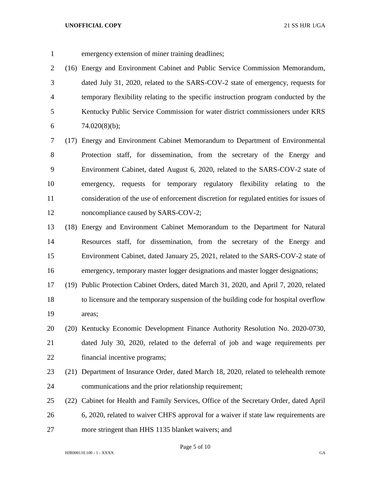emergency extension of miner training deadlines;

 (16) Energy and Environment Cabinet and Public Service Commission Memorandum, dated July 31, 2020, related to the SARS-COV-2 state of emergency, requests for temporary flexibility relating to the specific instruction program conducted by the Kentucky Public Service Commission for water district commissioners under KRS  $74.020(8)(b)$ ;

 (17) Energy and Environment Cabinet Memorandum to Department of Environmental Protection staff, for dissemination, from the secretary of the Energy and Environment Cabinet, dated August 6, 2020, related to the SARS-COV-2 state of emergency, requests for temporary regulatory flexibility relating to the consideration of the use of enforcement discretion for regulated entities for issues of 12 noncompliance caused by SARS-COV-2;

 (18) Energy and Environment Cabinet Memorandum to the Department for Natural Resources staff, for dissemination, from the secretary of the Energy and Environment Cabinet, dated January 25, 2021, related to the SARS-COV-2 state of emergency, temporary master logger designations and master logger designations;

 (19) Public Protection Cabinet Orders, dated March 31, 2020, and April 7, 2020, related to licensure and the temporary suspension of the building code for hospital overflow areas;

- (20) Kentucky Economic Development Finance Authority Resolution No. 2020-0730, dated July 30, 2020, related to the deferral of job and wage requirements per financial incentive programs;
- (21) Department of Insurance Order, dated March 18, 2020, related to telehealth remote communications and the prior relationship requirement;
- (22) Cabinet for Health and Family Services, Office of the Secretary Order, dated April 6, 2020, related to waiver CHFS approval for a waiver if state law requirements are more stringent than HHS 1135 blanket waivers; and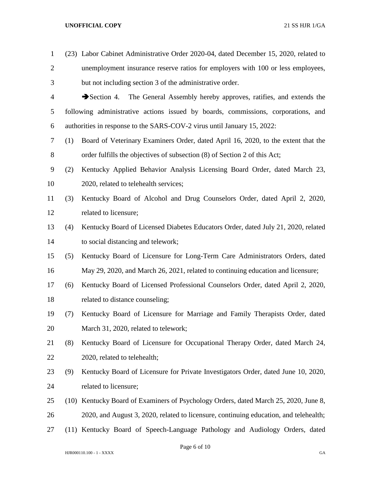| $\mathbf{1}$   |      | (23) Labor Cabinet Administrative Order 2020-04, dated December 15, 2020, related to  |
|----------------|------|---------------------------------------------------------------------------------------|
| $\overline{2}$ |      | unemployment insurance reserve ratios for employers with 100 or less employees,       |
| 3              |      | but not including section 3 of the administrative order.                              |
| $\overline{4}$ |      | Section 4. The General Assembly hereby approves, ratifies, and extends the            |
| 5              |      | following administrative actions issued by boards, commissions, corporations, and     |
| 6              |      | authorities in response to the SARS-COV-2 virus until January 15, 2022:               |
| $\tau$         | (1)  | Board of Veterinary Examiners Order, dated April 16, 2020, to the extent that the     |
| 8              |      | order fulfills the objectives of subsection (8) of Section 2 of this Act;             |
| 9              | (2)  | Kentucky Applied Behavior Analysis Licensing Board Order, dated March 23,             |
| 10             |      | 2020, related to telehealth services;                                                 |
| 11             | (3)  | Kentucky Board of Alcohol and Drug Counselors Order, dated April 2, 2020,             |
| 12             |      | related to licensure;                                                                 |
| 13             | (4)  | Kentucky Board of Licensed Diabetes Educators Order, dated July 21, 2020, related     |
| 14             |      | to social distancing and telework;                                                    |
| 15             | (5)  | Kentucky Board of Licensure for Long-Term Care Administrators Orders, dated           |
| 16             |      | May 29, 2020, and March 26, 2021, related to continuing education and licensure;      |
| 17             | (6)  | Kentucky Board of Licensed Professional Counselors Order, dated April 2, 2020,        |
| 18             |      | related to distance counseling;                                                       |
| 19             | (7)  | Kentucky Board of Licensure for Marriage and Family Therapists Order, dated           |
| 20             |      | March 31, 2020, related to telework;                                                  |
| 21             | (8)  | Kentucky Board of Licensure for Occupational Therapy Order, dated March 24,           |
| 22             |      | 2020, related to telehealth;                                                          |
| 23             | (9)  | Kentucky Board of Licensure for Private Investigators Order, dated June 10, 2020,     |
| 24             |      | related to licensure;                                                                 |
| 25             | (10) | Kentucky Board of Examiners of Psychology Orders, dated March 25, 2020, June 8,       |
| 26             |      | 2020, and August 3, 2020, related to licensure, continuing education, and telehealth; |
| 27             |      | (11) Kentucky Board of Speech-Language Pathology and Audiology Orders, dated          |
|                |      |                                                                                       |

Page 6 of 10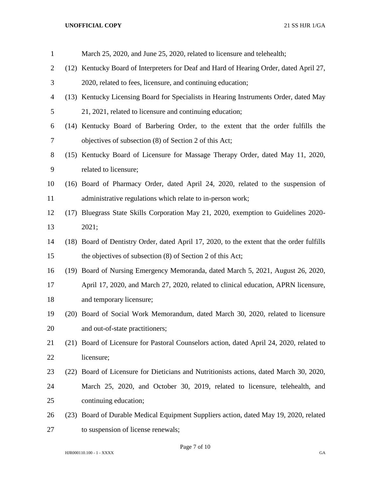| $\mathbf{1}$   |      | March 25, 2020, and June 25, 2020, related to licensure and telehealth;                    |
|----------------|------|--------------------------------------------------------------------------------------------|
| $\overline{2}$ |      | (12) Kentucky Board of Interpreters for Deaf and Hard of Hearing Order, dated April 27,    |
| 3              |      | 2020, related to fees, licensure, and continuing education;                                |
| 4              |      | (13) Kentucky Licensing Board for Specialists in Hearing Instruments Order, dated May      |
| 5              |      | 21, 2021, related to licensure and continuing education;                                   |
| 6              |      | (14) Kentucky Board of Barbering Order, to the extent that the order fulfills the          |
| 7              |      | objectives of subsection (8) of Section 2 of this Act;                                     |
| $8\,$          |      | (15) Kentucky Board of Licensure for Massage Therapy Order, dated May 11, 2020,            |
| 9              |      | related to licensure;                                                                      |
| 10             |      | (16) Board of Pharmacy Order, dated April 24, 2020, related to the suspension of           |
| 11             |      | administrative regulations which relate to in-person work;                                 |
| 12             | (17) | Bluegrass State Skills Corporation May 21, 2020, exemption to Guidelines 2020-             |
| 13             |      | 2021;                                                                                      |
| 14             |      | (18) Board of Dentistry Order, dated April 17, 2020, to the extent that the order fulfills |
| 15             |      | the objectives of subsection (8) of Section 2 of this Act;                                 |
| 16             |      | (19) Board of Nursing Emergency Memoranda, dated March 5, 2021, August 26, 2020,           |
| 17             |      | April 17, 2020, and March 27, 2020, related to clinical education, APRN licensure,         |
| 18             |      | and temporary licensure;                                                                   |
| 19             |      | (20) Board of Social Work Memorandum, dated March 30, 2020, related to licensure           |
| 20             |      | and out-of-state practitioners;                                                            |
| 21             | (21) | Board of Licensure for Pastoral Counselors action, dated April 24, 2020, related to        |
| 22             |      | licensure;                                                                                 |
| 23             | (22) | Board of Licensure for Dieticians and Nutritionists actions, dated March 30, 2020,         |
| 24             |      | March 25, 2020, and October 30, 2019, related to licensure, telehealth, and                |
| 25             |      | continuing education;                                                                      |
| 26             | (23) | Board of Durable Medical Equipment Suppliers action, dated May 19, 2020, related           |
| 27             |      | to suspension of license renewals;                                                         |

Page 7 of 10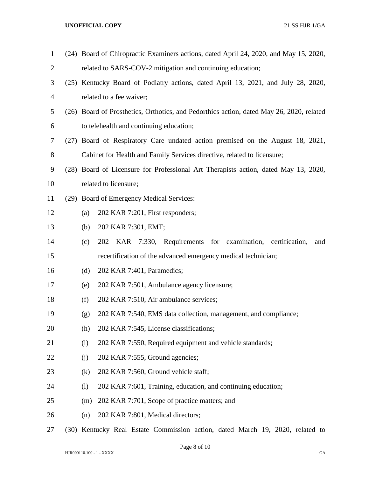| $\mathbf{1}$   |      |     | (24) Board of Chiropractic Examiners actions, dated April 24, 2020, and May 15, 2020,    |
|----------------|------|-----|------------------------------------------------------------------------------------------|
| $\overline{2}$ |      |     | related to SARS-COV-2 mitigation and continuing education;                               |
| 3              |      |     | (25) Kentucky Board of Podiatry actions, dated April 13, 2021, and July 28, 2020,        |
| 4              |      |     | related to a fee waiver;                                                                 |
| 5              |      |     | (26) Board of Prosthetics, Orthotics, and Pedorthics action, dated May 26, 2020, related |
| 6              |      |     | to telehealth and continuing education;                                                  |
| 7              |      |     | (27) Board of Respiratory Care undated action premised on the August 18, 2021,           |
| $8\,$          |      |     | Cabinet for Health and Family Services directive, related to licensure;                  |
| 9              |      |     | (28) Board of Licensure for Professional Art Therapists action, dated May 13, 2020,      |
| 10             |      |     | related to licensure;                                                                    |
| 11             |      |     | (29) Board of Emergency Medical Services:                                                |
| 12             |      | (a) | 202 KAR 7:201, First responders;                                                         |
| 13             |      | (b) | 202 KAR 7:301, EMT;                                                                      |
| 14             |      | (c) | for examination, certification,<br>KAR<br>7:330, Requirements<br>202<br>and              |
| 15             |      |     | recertification of the advanced emergency medical technician;                            |
| 16             |      | (d) | 202 KAR 7:401, Paramedics;                                                               |
| 17             |      | (e) | 202 KAR 7:501, Ambulance agency licensure;                                               |
| 18             |      | (f) | 202 KAR 7:510, Air ambulance services;                                                   |
| 19             |      | (g) | 202 KAR 7:540, EMS data collection, management, and compliance;                          |
| 20             |      | (h) | 202 KAR 7:545, License classifications;                                                  |
| 21             |      | (i) | 202 KAR 7:550, Required equipment and vehicle standards;                                 |
| 22             |      | (j) | 202 KAR 7:555, Ground agencies;                                                          |
| 23             |      | (k) | 202 KAR 7:560, Ground vehicle staff;                                                     |
| 24             |      | (1) | 202 KAR 7:601, Training, education, and continuing education;                            |
| 25             |      | (m) | 202 KAR 7:701, Scope of practice matters; and                                            |
| 26             |      | (n) | 202 KAR 7:801, Medical directors;                                                        |
| 27             | (30) |     | Kentucky Real Estate Commission action, dated March 19, 2020, related to                 |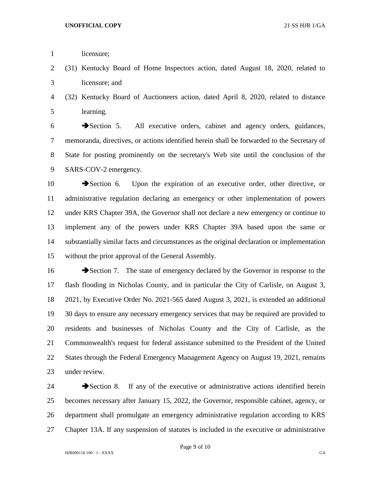1 licensure;

 (31) Kentucky Board of Home Inspectors action, dated August 18, 2020, related to licensure; and

# (32) Kentucky Board of Auctioneers action, dated April 8, 2020, related to distance learning.

 Section 5. All executive orders, cabinet and agency orders, guidances, memoranda, directives, or actions identified herein shall be forwarded to the Secretary of State for posting prominently on the secretary's Web site until the conclusion of the SARS-COV-2 emergency.

10 Section 6. Upon the expiration of an executive order, other directive, or administrative regulation declaring an emergency or other implementation of powers under KRS Chapter 39A, the Governor shall not declare a new emergency or continue to implement any of the powers under KRS Chapter 39A based upon the same or substantially similar facts and circumstances as the original declaration or implementation without the prior approval of the General Assembly.

16 Section 7. The state of emergency declared by the Governor in response to the flash flooding in Nicholas County, and in particular the City of Carlisle, on August 3, 2021, by Executive Order No. 2021-565 dated August 3, 2021, is extended an additional 30 days to ensure any necessary emergency services that may be required are provided to residents and businesses of Nicholas County and the City of Carlisle, as the Commonwealth's request for federal assistance submitted to the President of the United States through the Federal Emergency Management Agency on August 19, 2021, remains under review.

24 Section 8. If any of the executive or administrative actions identified herein becomes necessary after January 15, 2022, the Governor, responsible cabinet, agency, or department shall promulgate an emergency administrative regulation according to KRS Chapter 13A. If any suspension of statutes is included in the executive or administrative